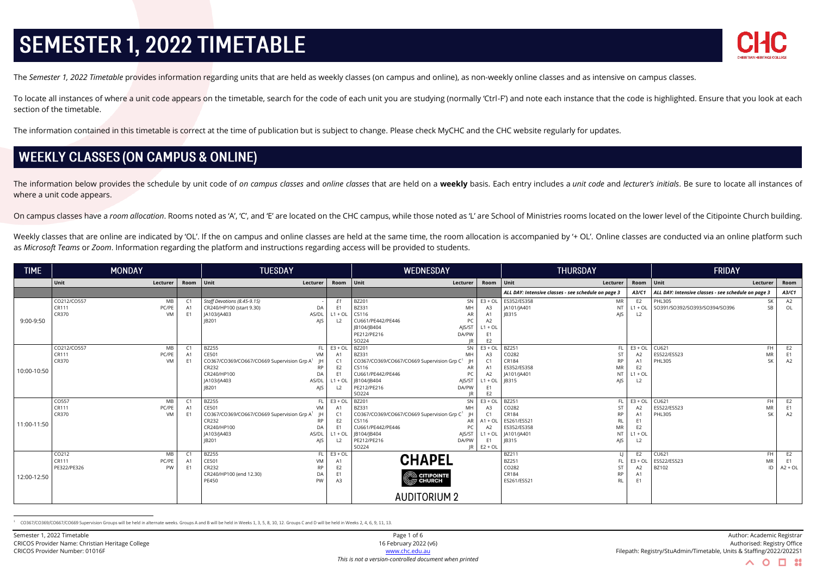

The Semester 1, 2022 Timetable provides information regarding units that are held as weekly classes (on campus and online), as non-weekly online classes and as intensive on campus classes.

To locate all instances of where a unit code appears on the timetable, search for the code of each unit you are studying (normally 'Ctrl-F') and note each instance that the code is highlighted. Ensure that you look at each section of the timetable.

The information contained in this timetable is correct at the time of publication but is subject to change. Please check MyCHC and the CHC website regularly for updates.

## **WEEKLY CLASSES (ON CAMPUS & ONLINE)**

The information below provides the schedule by unit code of on campus classes and online classes that are held on a weekly basis. Each entry includes a *unit code* and lecturer's initials. Be sure to locate all instances o where a unit code appears.

On campus classes have a room allocation. Rooms noted as 'A', 'C', and 'E' are located on the CHC campus, while those noted as 'L' are School of Ministries rooms located on the lower level of the Citipointe Church building

Weekly classes that are online are indicated by 'OL'. If the on campus and online classes are held at the same time, the room allocation is accompanied by '+ OL'. Online classes are conducted via an online platform such as *Microsoft Teams* or *Zoom*. Information regarding the platform and instructions regarding access will be provided to students.

| <b>TIME</b> | <b>MONDAY</b>                       |                      | <b>TUESDAY</b>                                          |                      | <b>WEDNESDAY</b>                                        |                                  | <b>THURSDAY</b>                                     |                             | <b>FRIDAY</b>                                              |                 |
|-------------|-------------------------------------|----------------------|---------------------------------------------------------|----------------------|---------------------------------------------------------|----------------------------------|-----------------------------------------------------|-----------------------------|------------------------------------------------------------|-----------------|
|             | Unit<br>Lecturer                    | Room Unit            | Lecturer                                                | Room Unit            | Lecturer                                                | Room                             | $ $ Unit<br>Lecturer                                | Room Unit                   | Lecturer                                                   | Room            |
|             |                                     |                      |                                                         |                      |                                                         |                                  | ALL DAY: Intensive classes - see schedule on page 3 | A3/C1                       | ALL DAY: Intensive classes - see schedule on page 3        | A3/C1           |
|             | CO212/CO557<br>MB<br>CR111<br>PC/PE | C1                   | Staff Devotions (8.45-9.15)<br>CR240/HP100 (start 9.30) | E <sub>1</sub><br>F1 | <b>BZ201</b><br>SN I<br>BZ331                           | $E3 + OL$                        | ES352/ES358<br>MR<br>JA101/JA401<br><b>NT</b>       | E <sub>2</sub><br>$L1 + OL$ | <b>PHL305</b><br>SK<br>SO391/SO392/SO393/SO394/SO396<br>SB | A2<br>OL        |
|             | CR370<br>VM                         | A1<br>E <sub>1</sub> | DA<br>JA103/JA403<br>AS/DL                              | $L1 + OL$            | MH<br>CS116<br>AR                                       | A3<br>A <sub>1</sub>             | <b>IB315</b><br>AIS                                 | L2                          |                                                            |                 |
| 9:00-9:50   |                                     |                      | <b>IB201</b><br>AIS                                     | L <sub>2</sub>       | CU661/PE442/PE446<br>PC                                 | A2                               |                                                     |                             |                                                            |                 |
|             |                                     |                      |                                                         |                      | JB104/JB404<br>AJS/ST                                   | $L1 + OL$                        |                                                     |                             |                                                            |                 |
|             |                                     |                      |                                                         |                      | PE212/PE216<br>DA/PW                                    | E <sub>1</sub>                   |                                                     |                             |                                                            |                 |
|             |                                     |                      |                                                         |                      | SO224                                                   | E <sub>2</sub>                   |                                                     |                             |                                                            |                 |
|             | CO212/CO557<br>MB                   | $\mathsf{C}$ 1       | <b>BZ255</b>                                            | $FL$ $E3 + OL$       | <b>BZ201</b><br><b>SN</b>                               | $E3 + OL$                        | BZ251<br>FL                                         | $E3 + OL$                   | CU621<br><b>FH</b>                                         | E2              |
|             | PC/PE<br>CR111                      |                      | CE501<br><b>VM</b>                                      |                      | BZ331<br>MH                                             |                                  | CO282                                               | A2                          | ES522/ES523<br><b>MR</b>                                   | F <sub>1</sub>  |
|             | CR370<br>VM                         |                      | CO367/CO369/CO667/CO669 Supervision Grp A <sup>1</sup>  |                      | CO367/CO369/CO667/CO669 Supervision Grp C1              | C <sub>1</sub>                   | CR184<br><b>RP</b>                                  | A1                          | <b>PHL305</b><br><b>SK</b>                                 | A2              |
| 10:00-10:50 |                                     |                      | CR232<br><b>RP</b>                                      | E2                   | CS116<br>AR                                             | A <sub>1</sub>                   | ES352/ES358<br>MR                                   | E <sub>2</sub>              |                                                            |                 |
|             |                                     |                      | CR240/HP100<br>DA                                       |                      | CU661/PE442/PE446<br>PC                                 | A2                               | JA101/JA401<br><b>NT</b>                            | $L1 + OL$                   |                                                            |                 |
|             |                                     |                      | JA103/JA403<br>AS/DL<br><b>JB201</b>                    | $L1 + OL$            | B104/ B404<br>AJS/ST                                    | $L1 + OL$                        | <b>IB315</b><br>AIS                                 | L <sub>2</sub>              |                                                            |                 |
|             |                                     |                      | AJS                                                     | L2                   | PE212/PE216<br>DA/PW<br>SO224<br>IR                     | E <sub>1</sub><br>E <sub>2</sub> |                                                     |                             |                                                            |                 |
|             | CO557<br>MB                         | $\mathsf{C}$ 1       | <b>BZ255</b>                                            | $FL$ $E3 + OL$       | <b>BZ201</b><br>SN                                      | $E3 + OL$                        | BZ251<br>FL                                         | $E3 + OL$                   | CU621<br><b>FH</b>                                         | E2              |
|             | CR111<br>PC/PE                      |                      | CE501<br>VM                                             |                      | BZ331<br><b>MH</b>                                      | A3                               | CO282<br>ST                                         | A <sub>2</sub>              | ES522/ES523<br><b>MR</b>                                   | F <sub>1</sub>  |
|             | CR370<br>VM                         | F1                   | CO367/CO369/CO667/CO669 Supervision Grp A <sup>1</sup>  | C <sub>1</sub>       | CO367/CO369/CO667/CO669 Supervision Grp C1<br><b>IH</b> | C1                               | CR184<br><b>RP</b>                                  | A1                          | <b>PHL305</b><br><b>SK</b>                                 | A2              |
|             |                                     |                      | CR232<br><b>RP</b>                                      | E2                   | CS116<br>AR                                             | $A1 + OL$                        | ES261/ES521<br><b>RL</b>                            | E1                          |                                                            |                 |
| 11:00-11:50 |                                     |                      | CR240/HP100<br>DA                                       |                      | CU661/PE442/PE446<br>PC                                 | A2                               | ES352/ES358<br>MR                                   | E <sub>2</sub>              |                                                            |                 |
|             |                                     |                      | JA103/JA403<br>AS/DL                                    | $11 + 01$            | B104/ B404<br>AIS/ST                                    | $L1 + OL$                        | JA101/JA401<br><b>NT</b>                            | $L1 + OL$                   |                                                            |                 |
|             |                                     |                      | <b>JB201</b><br>AIS                                     | L <sub>2</sub>       | PE212/PE216<br>DA/PW                                    | E1                               | <b>IB315</b><br>AIS                                 | L2                          |                                                            |                 |
|             |                                     |                      |                                                         |                      | SO224<br>IR.                                            | $E2 + O1$                        |                                                     |                             |                                                            |                 |
|             | CO212<br>MB                         | $\mathsf{C}$ 1       | <b>BZ255</b>                                            | $FL$ $E3 + OL$       | <b>CHAPEL</b>                                           |                                  | BZ211                                               | E <sub>2</sub>              | CU621<br>FH.                                               | E2              |
|             | CR111<br>PC/PE<br>PE322/PE326<br>PW | F.                   | CE501<br>VM<br>CR232<br><b>RP</b>                       | A1<br>E <sub>2</sub> |                                                         |                                  | <b>BZ251</b><br>FL<br>CO282<br><b>ST</b>            | $E3 + OL$<br>A <sub>2</sub> | ES522/ES523<br>MR<br>BZ102<br>ID                           | E1<br>$A2 + OL$ |
|             |                                     |                      | CR240/HP100 (end 12.30)<br>DA                           | E1                   |                                                         |                                  | CR184<br><b>RP</b>                                  | A1                          |                                                            |                 |
| 12:00-12:50 |                                     |                      | PE450<br>PW                                             | A3                   | C CITIPOINTE                                            |                                  | ES261/ES521<br>RI                                   | E1                          |                                                            |                 |
|             |                                     |                      |                                                         |                      |                                                         |                                  |                                                     |                             |                                                            |                 |
|             |                                     |                      |                                                         |                      | <b>AUDITORIUM 2</b>                                     |                                  |                                                     |                             |                                                            |                 |

CO367/CO369/CO667/CO669 Supervision Groups will be held in alternate weeks. Groups A and B will be held in Weeks 1, 3, 5, 8, 10, 12. Groups C and D will be held in Weeks 2, 4, 6, 9, 11, 13.

*This is not a version-controlled document when printed*

Semester 1, 2022 Timetable Page 1 of 6 Author: Academic Registrar CRICOS Provider Name: Christian Heritage College 16 February 2022 (v6) 16 February 2022 (v6) Authorised: Registry Office CRICOS Provider Number: 01016F [www.chc.edu.au](http://www.chc.edu.au/) Filepath: Registry/StuAdmin/Timetable, Units & Staffing/2022/2022S1

 $\wedge$  0

□ ∷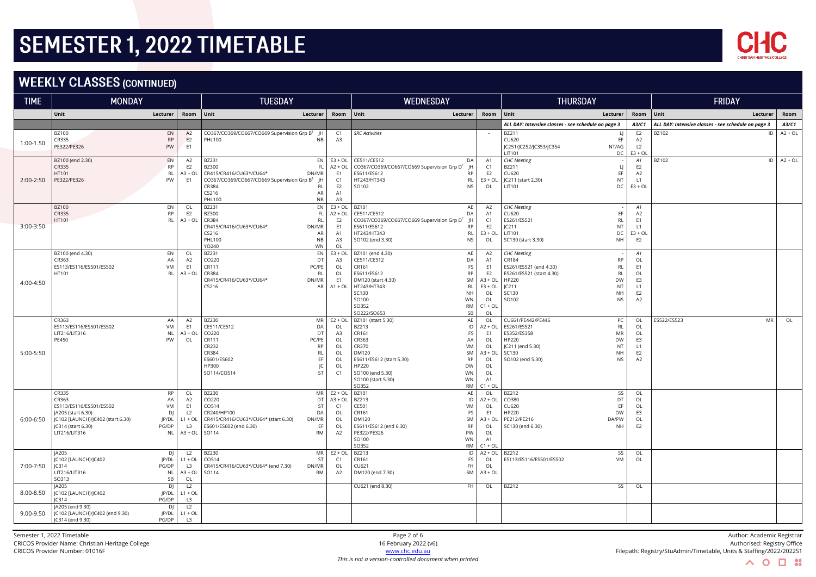

## **WEEKLY CLASSES (CONTINUED)**

| <b>TIME</b> | <b>MONDAY</b>                                                                                                                               |                                                                  |                                                                                          | <b>TUESDAY</b>                                                                                                                                                                                   |                                                                  | WEDNESDAY                                                                                                                                                                                                                               |                                                                                                       | <b>THURSDAY</b><br><b>FRIDAY</b>                                                                                                                                                                          |                                                                      |                                                     |                |
|-------------|---------------------------------------------------------------------------------------------------------------------------------------------|------------------------------------------------------------------|------------------------------------------------------------------------------------------|--------------------------------------------------------------------------------------------------------------------------------------------------------------------------------------------------|------------------------------------------------------------------|-----------------------------------------------------------------------------------------------------------------------------------------------------------------------------------------------------------------------------------------|-------------------------------------------------------------------------------------------------------|-----------------------------------------------------------------------------------------------------------------------------------------------------------------------------------------------------------|----------------------------------------------------------------------|-----------------------------------------------------|----------------|
|             | Unit                                                                                                                                        | Lecturer                                                         | Room                                                                                     | Unit<br>Lecturer                                                                                                                                                                                 | Room                                                             | Unit<br>Lecturer                                                                                                                                                                                                                        | Room                                                                                                  | Unit<br>Lecturer                                                                                                                                                                                          | Room                                                                 | Unit<br>Lecturer                                    | Room           |
|             |                                                                                                                                             |                                                                  |                                                                                          |                                                                                                                                                                                                  |                                                                  |                                                                                                                                                                                                                                         |                                                                                                       | ALL DAY: Intensive classes - see schedule on page 3                                                                                                                                                       | A3/C1                                                                | ALL DAY: Intensive classes - see schedule on page 3 | A3/C1          |
| 1:00-1.50   | <b>BZ100</b><br>CR335<br>PE322/PE326                                                                                                        | EN<br><b>RP</b><br>PW                                            | A2<br>E <sub>2</sub><br>E <sub>1</sub>                                                   | CO367/CO369/CO667/CO669 Supervision Grp B <sup>1</sup> JH<br><b>PHL100</b><br><b>NB</b>                                                                                                          | C1<br>A3                                                         | <b>SRC Activities</b>                                                                                                                                                                                                                   |                                                                                                       | BZ211<br>LI<br>CU620<br>EF<br>JC251/JC252/JC353/JC354<br>NT/AG<br>LIT101<br>DC                                                                                                                            | E <sub>2</sub><br>A2<br>L <sub>2</sub><br>$E3 + OL$                  | BZ102<br>ID                                         | $A2 + OL$      |
| 2:00-2:50   | BZ100 (end 2.30)<br>CR335<br>HT101<br>PE322/PE326                                                                                           | EN<br>RP<br><b>RL</b><br>PW                                      | A2<br>E <sub>2</sub><br>$A3 + O1$<br>E <sub>1</sub>                                      | BZ231<br>EN  <br><b>BZ300</b><br><b>FL</b><br>CR415/CR416/CU63*/CU64*<br>DN/MR<br>CO367/CO369/CO667/CO669 Supervision Grp B1<br>- IH<br>CR384<br><b>RL</b><br>CS216<br>AR<br><b>PHL100</b><br>NB | $E3 + OL$<br>$A2 + OL$<br>E1<br>C1<br>E2<br>A1<br>A3             | CE511/CE512<br>DA<br>CO367/CO369/CO667/CO669 Supervision Grp D <sup>1</sup><br>ES611/ES612<br><b>RP</b><br>HT243/HT343<br>RL<br>SO102<br><b>NS</b>                                                                                      | A1<br>C1<br>E2<br>$E3 + OL$<br>OL                                                                     | <b>CHC</b> Meeting<br>BZ211<br>CU620<br>EF<br>JC211 (start 2.30)<br>NT<br>LIT101<br>DC                                                                                                                    | A1<br>E <sub>2</sub><br>A <sub>2</sub><br>L1<br>$E3 + OL$            | BZ102                                               | $ID$ $A2 + OL$ |
| 3:00-3:50   | <b>BZ100</b><br>CR335<br>HT101                                                                                                              | EN<br><b>RP</b><br>RL                                            | OL<br>E <sub>2</sub><br>$A3 + OL$                                                        | BZ231<br>EN<br><b>BZ300</b><br>FL.<br>CR384<br><b>RL</b><br>CR415/CR416/CU63*/CU64*<br>DN/MR<br>CS216<br>AR<br>PHL100<br>NB<br>YO240<br><b>WN</b>                                                | $E3 + OL$<br>$A2 + OL$<br>E <sub>2</sub><br>E1<br>A1<br>A3<br>OL | BZ101<br>AE<br>CE511/CE512<br>DA<br>CO367/CO369/CO667/CO669 Supervision Grp D <sup>1</sup><br>JH<br>ES611/ES612<br><b>RP</b><br>HT243/HT343<br>RL<br><b>NS</b><br>SO102 (end 3.30)                                                      | A2<br>A1<br>C1<br>E2<br>$E3 + OL$<br>OL                                                               | <b>CHC</b> Meeting<br>EF<br>CU620<br>ES261/ES521<br><b>RL</b><br>JC211<br>NT<br>LIT101<br>DC<br>SC130 (start 3.30)<br><b>NH</b>                                                                           | A1<br>A2<br>E <sub>1</sub><br>L1<br>$E3 + OL$<br>E <sub>2</sub>      |                                                     |                |
| 4:00-4:50   | BZ100 (end 4.30)<br>CR363<br>ES113/ES116/ES501/ES502<br>HT101                                                                               | EN<br>AA<br>VM<br><b>RL</b>                                      | OL<br>A2<br>E1<br>$A3 + O1$                                                              | BZ231<br>EN<br>DT<br>CO220<br>CR111<br>PC/PE<br>CR384<br><b>RL</b><br>CR415/CR416/CU63*/CU64*<br>DN/MR<br>CS216<br><b>AR</b>                                                                     | $E3 + OL$<br>A3<br>OL<br>OL<br>E1<br>$A1 + OL$                   | AE<br>BZ101 (end 4.30)<br>CE511/CE512<br>DA<br>CR161<br>FS<br>RP<br>ES611/ES612<br>SM<br>DM120 (start 4.30)<br><b>RL</b><br>HT243/HT343<br>SC130<br><b>NH</b><br>SO100<br><b>WN</b><br>SO352<br><b>RM</b><br>SB<br>SO222/SO653          | A2<br>A1<br>E <sub>1</sub><br>E <sub>2</sub><br>$A3 + OL$<br>$E3 + OL$<br>OL<br>OL<br>$C1 + OL$<br>OL | <b>CHC</b> Meeting<br><b>RP</b><br>CR184<br>ES261/ES521 (end 4.30)<br><b>RL</b><br>ES261/ES521 (start 4.30)<br><b>RL</b><br>HP220<br><b>DW</b><br>IC211<br>NT<br>SC130<br><b>NH</b><br>SO102<br><b>NS</b> | A1<br>OL<br>E <sub>1</sub><br>OL<br>E3<br>L1<br>E <sub>2</sub><br>A2 |                                                     |                |
| 5:00-5:50   | CR363<br>ES113/ES116/ES501/ES502<br>LIT216/LIT316<br>PE450                                                                                  | AA<br>VM<br><b>NL</b><br>PW                                      | A2<br>E <sub>1</sub><br>$A3 + OL$<br>OL                                                  | BZ230<br><b>MR</b><br>DA<br>CE511/CE512<br>CO220<br>DT<br>CR111<br>PC/PE<br>CR232<br><b>RP</b><br>CR384<br><b>RL</b><br>ES601/ES602<br>EF<br>HP300<br>JC<br>ST<br>SO114/CO514                    | $E2 + OL$<br>OL<br>A3<br>OL<br>OL<br>OL<br>OL<br>OL<br>C1        | AE<br>BZ101 (start 5.30)<br>ID<br>BZ213<br>CR161<br>FS<br>CR363<br>AA<br>CR370<br>VM<br>DM120<br><b>SM</b><br>RP<br>ES611/ES612 (start 5.30)<br>HP220<br>DW<br>WN<br>SO100 (end 5.30)<br>WN<br>SO100 (start 5.30)<br><b>RM</b><br>SO352 | OL<br>$A2 + OL$<br>E <sub>1</sub><br>OL<br>OL<br>$A3 + OL$<br>OL<br>OL<br>OL<br>A1<br>$C1 + OL$       | CU661/PE442/PE446<br>PC<br><b>RL</b><br>ES261/ES521<br>ES352/ES358<br><b>MR</b><br><b>DW</b><br>HP220<br>IC211 (end 5.30)<br>NT<br>SC130<br><b>NH</b><br>SO102 (end 5.30)<br><b>NS</b>                    | OL<br>OL<br>OL<br>E3<br>L1<br>E <sub>2</sub><br>A <sub>2</sub>       | ES522/ES523<br><b>MR</b>                            | OL             |
| 6:00-6:50   | CR335<br>CR363<br>ES113/ES116/ES501/ES502<br>JA205 (start 6.30)<br>JC102 [LAUNCH]/JC402 (start 6.30)<br>IC314 (start 6.30)<br>LIT216/LIT316 | <b>RP</b><br>AA<br>VM<br>D<br><b>IP/DL</b><br>PG/DP<br><b>NL</b> | OL<br>A2<br>E <sub>1</sub><br>L <sub>2</sub><br>$L1 + OL$<br>L <sub>3</sub><br>$A3 + OL$ | BZ230<br><b>MR</b><br>CO220<br>DT<br>CO514<br>ST<br>CR240/HP100<br>DA<br>CR415/CR416/CU63*/CU64* (start 6.30)<br>DN/MR<br>EF<br>ES601/ES602 (end 6.30)<br>SO114<br><b>RM</b>                     | $E2 + OL$<br>$A3 + OL$<br>C1<br>OL<br>OL<br>OL<br>A2             | BZ101<br>AE<br>ID<br>BZ213<br>CE501<br>VM<br>FS<br>CR161<br>SM<br>DM120<br><b>RP</b><br>ES611/ES612 (end 6.30)<br>PE322/PE326<br>PW<br>WN<br>SO100<br><b>RM</b><br>SO352                                                                | OL<br>$A2 + OL$<br>OL<br>E1<br>A3 + OL<br>OL<br>OL<br>A1<br>$C1 + OL$                                 | BZ212<br>SS<br>CO380<br>DT<br>CU620<br>EF<br>HP220<br><b>DW</b><br>PE212/PE216<br>DA/PW<br>SC130 (end 6.30)<br><b>NH</b>                                                                                  | OL<br>OL<br>OL<br>E3<br>OL<br>E <sub>2</sub>                         |                                                     |                |
| 7:00-7:50   | <b>JA205</b><br>JC102 [LAUNCH]/JC402<br>JC314<br>LIT216/LIT316<br>SO313                                                                     | D<br>JP/DL<br>PG/DP<br>NL<br>SB                                  | L2<br>$L1 + OL$<br>L3<br>$A3 + OL$<br>OL                                                 | BZ230<br><b>MR</b><br>CO514<br>ST<br>CR415/CR416/CU63*/CU64* (end 7.30)<br>DN/MR<br>SO114<br><b>RM</b>                                                                                           | $E2 + OL$<br>C1<br>OL<br>A2                                      | BZ213<br>ID<br>FS<br>CR161<br>CU621<br>FH<br>SM<br>DM120 (end 7.30)                                                                                                                                                                     | $A2 + OL$<br>OL<br>OL<br>$A3 + OL$                                                                    | BZ212<br>SS<br>ES113/ES116/ES501/ES502<br>VM                                                                                                                                                              | OL<br>OL                                                             |                                                     |                |
| 8.00-8.50   | <b>JA205</b><br>JC102 [LAUNCH]/JC402<br> C314                                                                                               | D<br>JP/DL<br>PG/DP                                              | L2<br>$L1 + OL$<br>L <sub>3</sub>                                                        |                                                                                                                                                                                                  |                                                                  | CU621 (end 8.30)<br>FH                                                                                                                                                                                                                  | OL                                                                                                    | BZ212<br>SS                                                                                                                                                                                               | OL                                                                   |                                                     |                |
| 9.00-9.50   | JA205 (end 9.30)<br>JC102 [LAUNCH]/JC402 (end 9.30)<br>JC314 (end 9.30)                                                                     | <b>DJ</b><br>JP/DL<br>PG/DP                                      | L2<br>$L1 + OL$<br>L3                                                                    |                                                                                                                                                                                                  |                                                                  |                                                                                                                                                                                                                                         |                                                                                                       |                                                                                                                                                                                                           |                                                                      |                                                     |                |

 $\wedge$  0  $\Box$  ::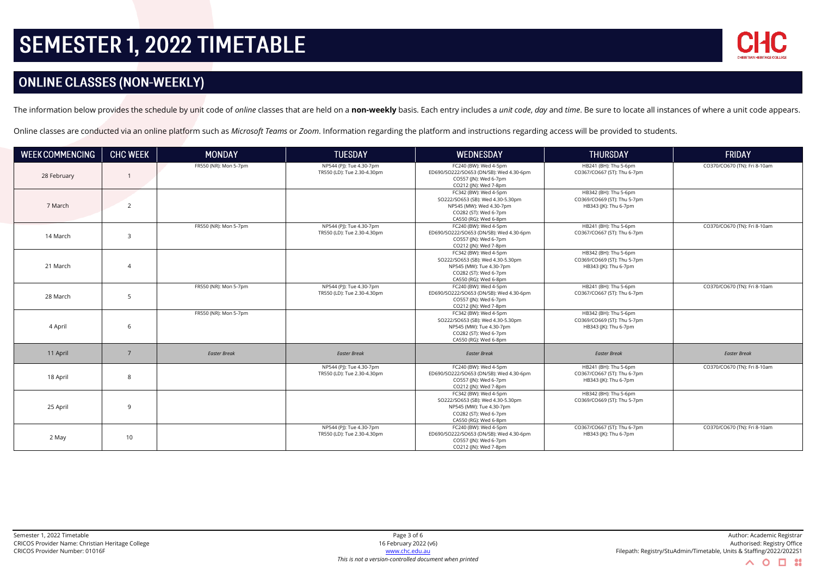

## **ONLINE CLASSES (NON-WEEKLY)**

The information below provides the schedule by unit code of online classes that are held on a non-weekly basis. Each entry includes a unit code, day and time. Be sure to locate all instances of where a unit code appears.

Online classes are conducted via an online platform such as *Microsoft Teams* or *Zoom*. Information regarding the platform and instructions regarding access will be provided to students.

| <b>WEEK COMMENCING</b> | <b>CHC WEEK</b> | <b>MONDAY</b>         | <b>TUESDAY</b>                                          | <b>WEDNESDAY</b>                                                                                                                         | <b>THURSDAY</b>                                                               | <b>FRIDAY</b>                |
|------------------------|-----------------|-----------------------|---------------------------------------------------------|------------------------------------------------------------------------------------------------------------------------------------------|-------------------------------------------------------------------------------|------------------------------|
| 28 February            |                 | FR550 (NR): Mon 5-7pm | NP544 (PJ): Tue 4.30-7pm<br>TR550 (LD): Tue 2.30-4.30pm | FC240 (BW): Wed 4-5pm<br>ED690/SO222/SO653 (DN/SB): Wed 4.30-6pm<br>CO557 (JN): Wed 6-7pm<br>CO212 (JN): Wed 7-8pm                       | HB241 (BH): Thu 5-6pm<br>CO367/CO667 (ST): Thu 6-7pm                          | CO370/CO670 (TN): Fri 8-10am |
| 7 March                | $\overline{2}$  |                       |                                                         | FC342 (BW): Wed 4-5pm<br>SO222/SO653 (SB): Wed 4.30-5.30pm<br>NP545 (MW): Wed 4.30-7pm<br>CO282 (ST): Wed 6-7pm<br>CA550 (RG): Wed 6-8pm | HB342 (BH): Thu 5-6pm<br>CO369/CO669 (ST): Thu 5-7pm<br>HB343 (JK): Thu 6-7pm |                              |
| 14 March               | $\overline{3}$  | FR550 (NR): Mon 5-7pm | NP544 (PJ): Tue 4.30-7pm<br>TR550 (LD): Tue 2.30-4.30pm | FC240 (BW): Wed 4-5pm<br>ED690/SO222/SO653 (DN/SB): Wed 4.30-6pm<br>CO557 (JN): Wed 6-7pm<br>CO212 (JN): Wed 7-8pm                       | HB241 (BH): Thu 5-6pm<br>CO367/CO667 (ST): Thu 6-7pm                          | CO370/CO670 (TN): Fri 8-10am |
| 21 March               | $\overline{4}$  |                       |                                                         | FC342 (BW): Wed 4-5pm<br>SO222/SO653 (SB): Wed 4.30-5.30pm<br>NP545 (MW): Tue 4.30-7pm<br>CO282 (ST): Wed 6-7pm<br>CA550 (RG): Wed 6-8pm | HB342 (BH): Thu 5-6pm<br>CO369/CO669 (ST): Thu 5-7pm<br>HB343 (JK): Thu 6-7pm |                              |
| 28 March               | 5               | FR550 (NR): Mon 5-7pm | NP544 (PJ): Tue 4.30-7pm<br>TR550 (LD): Tue 2.30-4.30pm | FC240 (BW): Wed 4-5pm<br>ED690/SO222/SO653 (DN/SB): Wed 4.30-6pm<br>CO557 (JN): Wed 6-7pm<br>CO212 (JN): Wed 7-8pm                       | HB241 (BH): Thu 5-6pm<br>CO367/CO667 (ST): Thu 6-7pm                          | CO370/CO670 (TN): Fri 8-10am |
| 4 April                | 6               | FR550 (NR): Mon 5-7pm |                                                         | FC342 (BW): Wed 4-5pm<br>SO222/SO653 (SB): Wed 4.30-5.30pm<br>NP545 (MW): Tue 4.30-7pm<br>CO282 (ST): Wed 6-7pm<br>CA550 (RG): Wed 6-8pm | HB342 (BH): Thu 5-6pm<br>CO369/CO669 (ST): Thu 5-7pm<br>HB343 (JK): Thu 6-7pm |                              |
| 11 April               | $\overline{7}$  | <b>Easter Break</b>   | <b>Easter Break</b>                                     | <b>Easter Break</b>                                                                                                                      | <b>Easter Break</b>                                                           | <b>Easter Break</b>          |
| 18 April               | 8               |                       | NP544 (PJ): Tue 4.30-7pm<br>TR550 (LD): Tue 2.30-4.30pm | FC240 (BW): Wed 4-5pm<br>ED690/SO222/SO653 (DN/SB): Wed 4.30-6pm<br>CO557 (JN): Wed 6-7pm<br>CO212 (JN): Wed 7-8pm                       | HB241 (BH): Thu 5-6pm<br>CO367/CO667 (ST): Thu 6-7pm<br>HB343 (JK): Thu 6-7pm | CO370/CO670 (TN): Fri 8-10am |
| 25 April               | $\mathsf{q}$    |                       |                                                         | FC342 (BW): Wed 4-5pm<br>SO222/SO653 (SB): Wed 4.30-5.30pm<br>NP545 (MW): Tue 4.30-7pm<br>CO282 (ST): Wed 6-7pm<br>CA550 (RG): Wed 6-8pm | HB342 (BH): Thu 5-6pm<br>CO369/CO669 (ST): Thu 5-7pm                          |                              |
| 2 May                  | 10              |                       | NP544 (PJ): Tue 4.30-7pm<br>TR550 (LD): Tue 2.30-4.30pm | FC240 (BW): Wed 4-5pm<br>ED690/SO222/SO653 (DN/SB): Wed 4.30-6pm<br>CO557 (JN): Wed 6-7pm<br>CO212 (JN): Wed 7-8pm                       | CO367/CO667 (ST): Thu 6-7pm<br>HB343 (JK): Thu 6-7pm                          | CO370/CO670 (TN): Fri 8-10am |

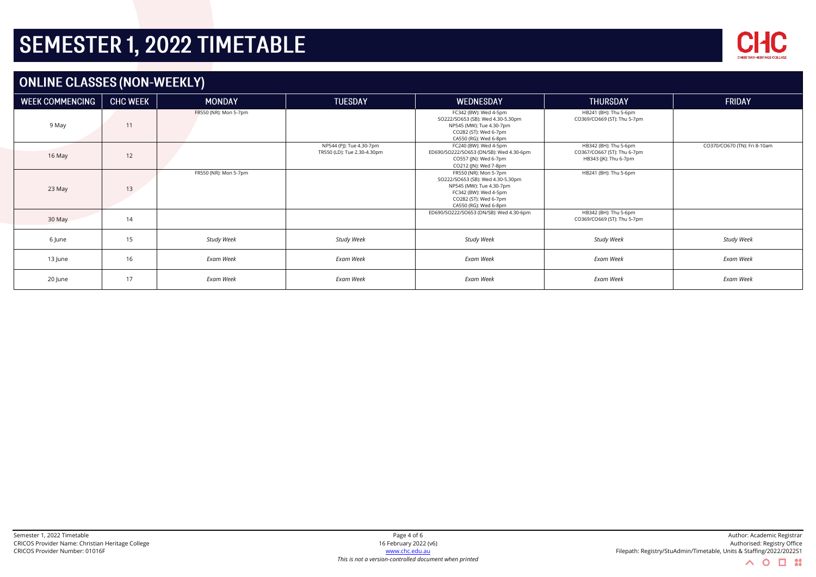

## **ONLINE CLASSES (NON-WEEKLY)**

| <b>WEEK COMMENCING</b> | <b>CHC WEEK</b> | <b>MONDAY</b>         | <b>TUESDAY</b>                                          | <b>WEDNESDAY</b>                                                                                                                                                  | <b>THURSDAY</b>                                                               | FRIDAY                       |
|------------------------|-----------------|-----------------------|---------------------------------------------------------|-------------------------------------------------------------------------------------------------------------------------------------------------------------------|-------------------------------------------------------------------------------|------------------------------|
| 9 May                  | 11              | FR550 (NR): Mon 5-7pm |                                                         | FC342 (BW): Wed 4-5pm<br>SO222/SO653 (SB): Wed 4.30-5.30pm<br>NP545 (MW): Tue 4.30-7pm<br>CO282 (ST): Wed 6-7pm<br>CA550 (RG): Wed 6-8pm                          | HB241 (BH): Thu 5-6pm<br>CO369/CO669 (ST): Thu 5-7pm                          |                              |
| 16 May                 | 12              |                       | NP544 (PJ): Tue 4.30-7pm<br>TR550 (LD): Tue 2.30-4.30pm | FC240 (BW): Wed 4-5pm<br>ED690/SO222/SO653 (DN/SB): Wed 4.30-6pm<br>CO557 (JN): Wed 6-7pm<br>CO212 (JN): Wed 7-8pm                                                | HB342 (BH): Thu 5-6pm<br>CO367/CO667 (ST): Thu 6-7pm<br>HB343 (JK): Thu 6-7pm | CO370/CO670 (TN): Fri 8-10am |
| 23 May                 | 13              | FR550 (NR): Mon 5-7pm |                                                         | FR550 (NR): Mon 5-7pm<br>SO222/SO653 (SB): Wed 4.30-5.30pm<br>NP545 (MW): Tue 4.30-7pm<br>FC342 (BW): Wed 4-5pm<br>CO282 (ST): Wed 6-7pm<br>CA550 (RG): Wed 6-8pm | HB241 (BH): Thu 5-6pm                                                         |                              |
| 30 May                 | 14              |                       |                                                         | ED690/SO222/SO653 (DN/SB): Wed 4.30-6pm                                                                                                                           | HB342 (BH): Thu 5-6pm<br>CO369/CO669 (ST): Thu 5-7pm                          |                              |
| 6 June                 | 15              | <b>Study Week</b>     | <b>Study Week</b>                                       | Study Week                                                                                                                                                        | <b>Study Week</b>                                                             | <b>Study Week</b>            |
| 13 June                | 16              | Exam Week             | Exam Week                                               | Exam Week                                                                                                                                                         | <b>Exam Week</b>                                                              | Exam Week                    |
| 20 June                | 17              | Exam Week             | Exam Week                                               | <b>Exam Week</b>                                                                                                                                                  | Exam Week                                                                     | Exam Week                    |

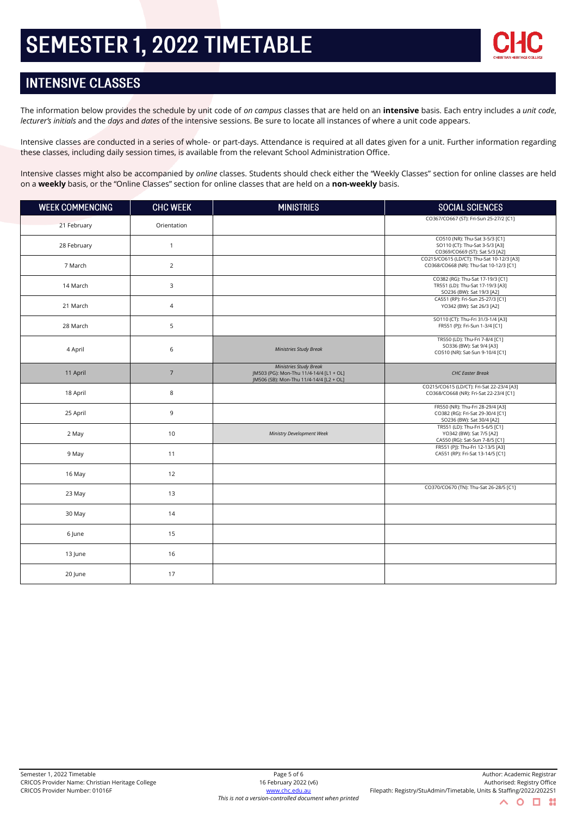

## **INTENSIVE CLASSES**

The information below provides the schedule by unit code of *on campus* classes that are held on an **intensive** basis. Each entry includes a *unit code*, *lecturer's initials* and the *days* and *dates* of the intensive sessions. Be sure to locate all instances of where a unit code appears.

Intensive classes are conducted in a series of whole- or part-days. Attendance is required at all dates given for a unit. Further information regarding these classes, including daily session times, is available from the relevant School Administration Office.

Intensive classes might also be accompanied by *online* classes. Students should check either the "Weekly Classes" section for online classes are held on a **weekly** basis, or the "Online Classes" section for online classes that are held on a **non-weekly** basis.

| <b>WEEK COMMENCING</b> | <b>CHC WEEK</b> | <b>MINISTRIES</b>                                                                                            | SOCIAL SCIENCES                                                                                    |
|------------------------|-----------------|--------------------------------------------------------------------------------------------------------------|----------------------------------------------------------------------------------------------------|
| 21 February            | Orientation     |                                                                                                              | CO367/CO667 (ST): Fri-Sun 25-27/2 [C1]                                                             |
| 28 February            | $\mathbf{1}$    |                                                                                                              | CO510 (NR): Thu-Sat 3-5/3 [C1]<br>SO110 (CT): Thu-Sat 3-5/3 [A3]<br>CO369/CO669 (ST): Sat 5/3 [A2] |
| 7 March                | $\overline{2}$  |                                                                                                              | CO215/CO615 (LD/CT): Thu-Sat 10-12/3 [A3]<br>CO368/CO668 (NR): Thu-Sat 10-12/3 [C1]                |
| 14 March               | 3               |                                                                                                              | CO382 (RG): Thu-Sat 17-19/3 [C1]<br>TR551 (LD): Thu-Sat 17-19/3 [A3]<br>SO236 (BW): Sat 19/3 [A2]  |
| 21 March               | $\overline{4}$  |                                                                                                              | CA551 (RP): Fri-Sun 25-27/3 [C1]<br>YO342 (BW): Sat 26/3 [A2]                                      |
| 28 March               | 5               |                                                                                                              | SO110 (CT): Thu-Fri 31/3-1/4 [A3]<br>FR551 (PJ): Fri-Sun 1-3/4 [C1]                                |
| 4 April                | 6               | <b>Ministries Study Break</b>                                                                                | TR550 (LD): Thu-Fri 7-8/4 [C1]<br>SO336 (BW): Sat 9/4 [A3]<br>CO510 (NR): Sat-Sun 9-10/4 [C1]      |
| 11 April               | $\overline{7}$  | Ministries Study Break<br>JM503 (PG): Mon-Thu 11/4-14/4 [L1 + OL]<br>JM506 (SB): Mon-Thu 11/4-14/4 [L2 + OL] | <b>CHC Easter Break</b>                                                                            |
| 18 April               | 8               |                                                                                                              | CO215/CO615 (LD/CT): Fri-Sat 22-23/4 [A3]<br>CO368/CO668 (NR): Fri-Sat 22-23/4 [C1]                |
| 25 April               | 9               |                                                                                                              | FR550 (NR): Thu-Fri 28-29/4 [A3]<br>CO382 (RG): Fri-Sat 29-30/4 [C1]<br>SO236 (BW): Sat 30/4 [A2]  |
| 2 May                  | 10              | Ministry Development Week                                                                                    | TR551 (LD): Thu-Fri 5-6/5 [C1]<br>YO342 (BW): Sat 7/5 [A2]<br>CA550 (RG): Sat-Sun 7-8/5 [C1]       |
| 9 May                  | 11              |                                                                                                              | FR551 (PJ): Thu-Fri 12-13/5 [A3]<br>CA551 (RP): Fri-Sat 13-14/5 [C1]                               |
| 16 May                 | 12              |                                                                                                              |                                                                                                    |
| 23 May                 | 13              |                                                                                                              | CO370/CO670 (TN): Thu-Sat 26-28/5 [C1]                                                             |
| 30 May                 | 14              |                                                                                                              |                                                                                                    |
| 6 June                 | 15              |                                                                                                              |                                                                                                    |
| 13 June                | 16              |                                                                                                              |                                                                                                    |
| 20 June                | 17              |                                                                                                              |                                                                                                    |

 $\mathbf O$